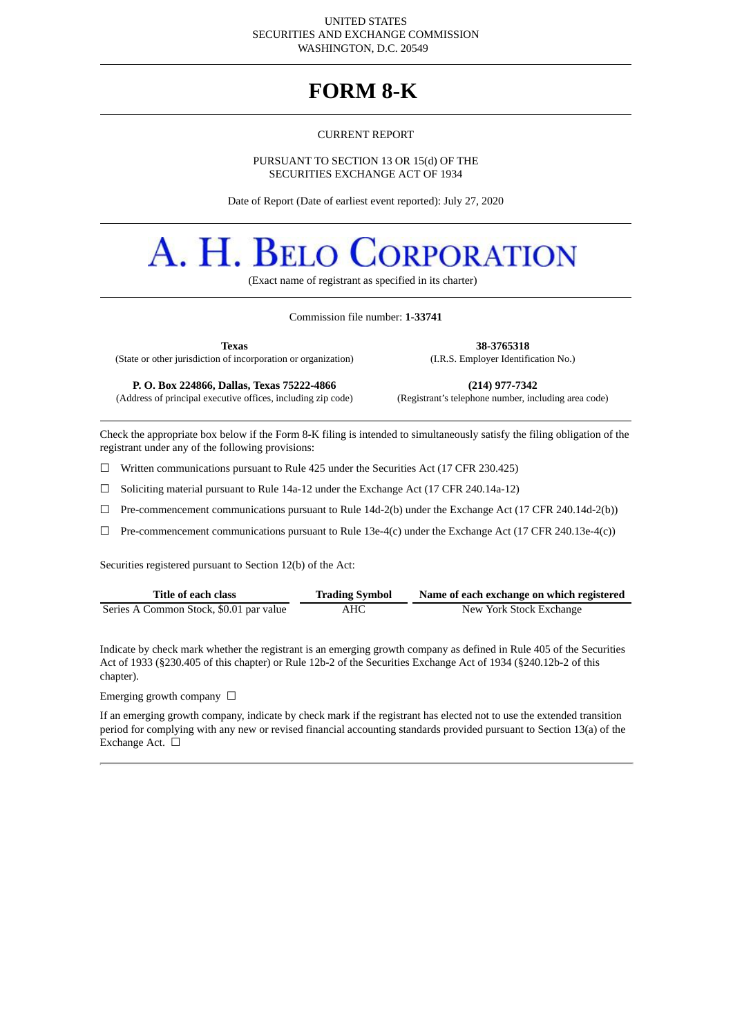#### UNITED STATES SECURITIES AND EXCHANGE COMMISSION WASHINGTON, D.C. 20549

# **FORM 8-K**

#### CURRENT REPORT

#### PURSUANT TO SECTION 13 OR 15(d) OF THE SECURITIES EXCHANGE ACT OF 1934

Date of Report (Date of earliest event reported): July 27, 2020

# A. H. BELO **DRPORATION**

(Exact name of registrant as specified in its charter)

#### Commission file number: **1-33741**

**Texas 38-3765318**

(State or other jurisdiction of incorporation or organization) (I.R.S. Employer Identification No.)

(Address of principal executive offices, including zip code)

**P. O. Box 224866, Dallas, Texas 75222-4866 (214) 977-7342**

Check the appropriate box below if the Form 8-K filing is intended to simultaneously satisfy the filing obligation of the registrant under any of the following provisions:

☐ Written communications pursuant to Rule 425 under the Securities Act (17 CFR 230.425)

 $\Box$  Soliciting material pursuant to Rule 14a-12 under the Exchange Act (17 CFR 240.14a-12)

☐ Pre-commencement communications pursuant to Rule 14d-2(b) under the Exchange Act (17 CFR 240.14d-2(b))

 $\Box$  Pre-commencement communications pursuant to Rule 13e-4(c) under the Exchange Act (17 CFR 240.13e-4(c))

Securities registered pursuant to Section 12(b) of the Act:

| Title of each class<br><b>Trading Symbol</b> |     | Name of each exchange on which registered |  |  |  |  |  |
|----------------------------------------------|-----|-------------------------------------------|--|--|--|--|--|
| Series A Common Stock, \$0.01 par value      | AHC | New York Stock Exchange                   |  |  |  |  |  |

Indicate by check mark whether the registrant is an emerging growth company as defined in Rule 405 of the Securities Act of 1933 (§230.405 of this chapter) or Rule 12b-2 of the Securities Exchange Act of 1934 (§240.12b-2 of this chapter).

Emerging growth company  $\Box$ 

If an emerging growth company, indicate by check mark if the registrant has elected not to use the extended transition period for complying with any new or revised financial accounting standards provided pursuant to Section 13(a) of the Exchange Act. □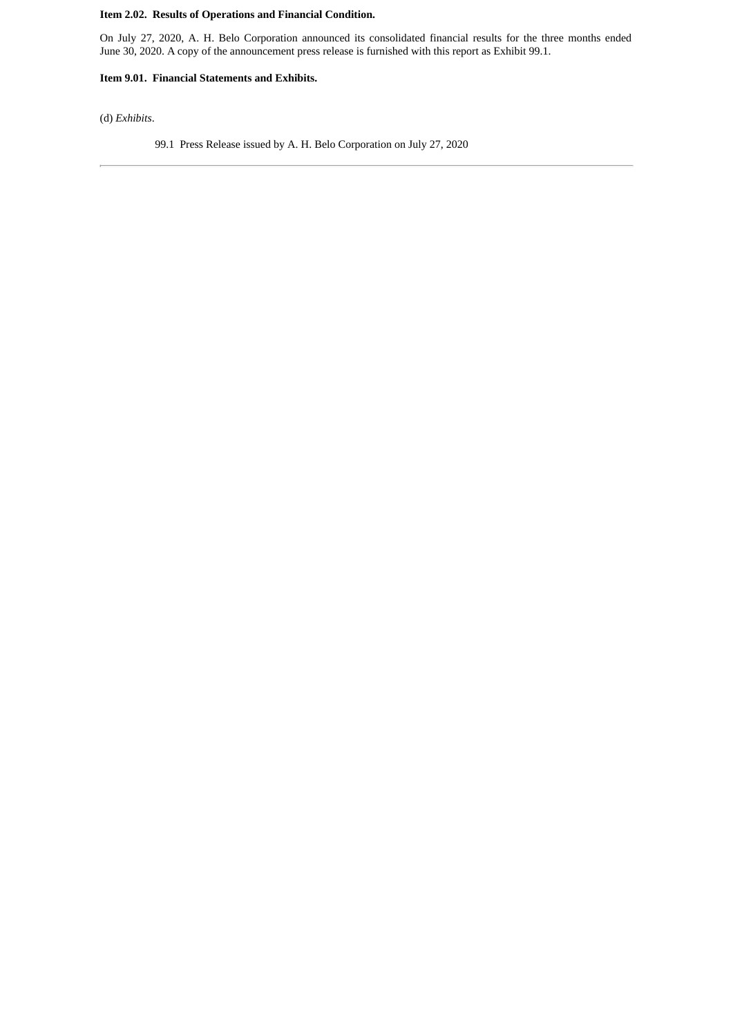# **Item 2.02. Results of Operations and Financial Condition.**

On July 27, 2020, A. H. Belo Corporation announced its consolidated financial results for the three months ended June 30, 2020. A copy of the announcement press release is furnished with this report as Exhibit 99.1.

### **Item 9.01. Financial Statements and Exhibits.**

(d) *Exhibits*.

99.1 Press Release issued by A. H. Belo Corporation on July 27, 2020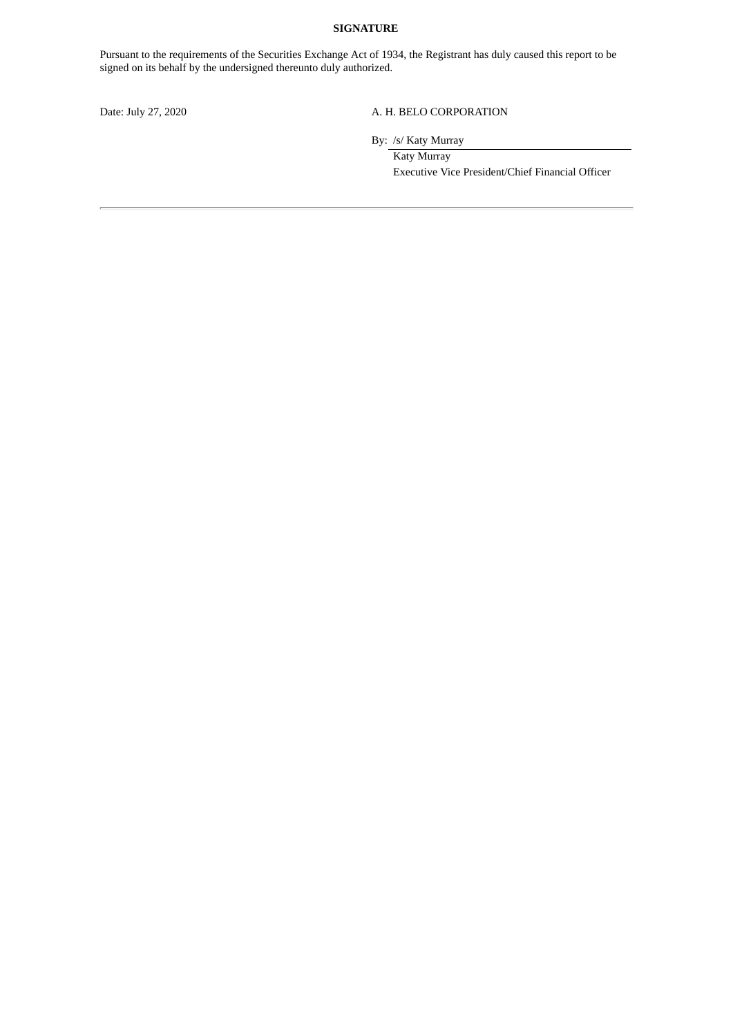#### **SIGNATURE**

Pursuant to the requirements of the Securities Exchange Act of 1934, the Registrant has duly caused this report to be signed on its behalf by the undersigned thereunto duly authorized.

# Date: July 27, 2020 A. H. BELO CORPORATION

By: /s/ Katy Murray

Katy Murray Executive Vice President/Chief Financial Officer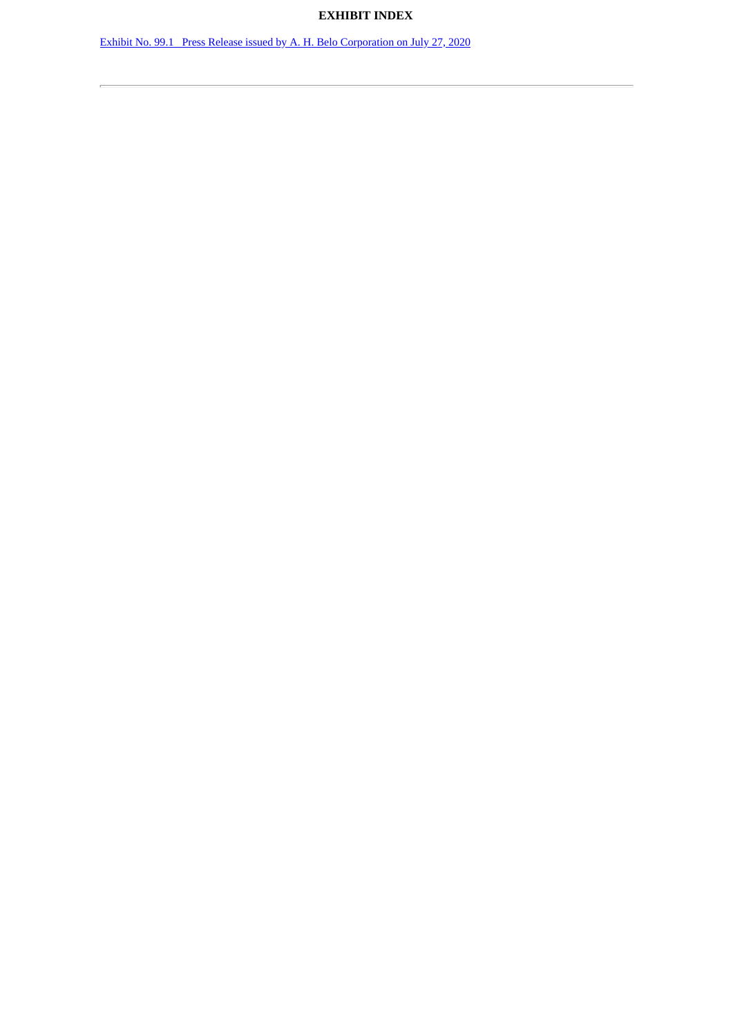# **EXHIBIT INDEX**

Exhibit No. 99.1 Press Release issued by A. H. Belo [Corporation](#page-4-0) on July 27, 2020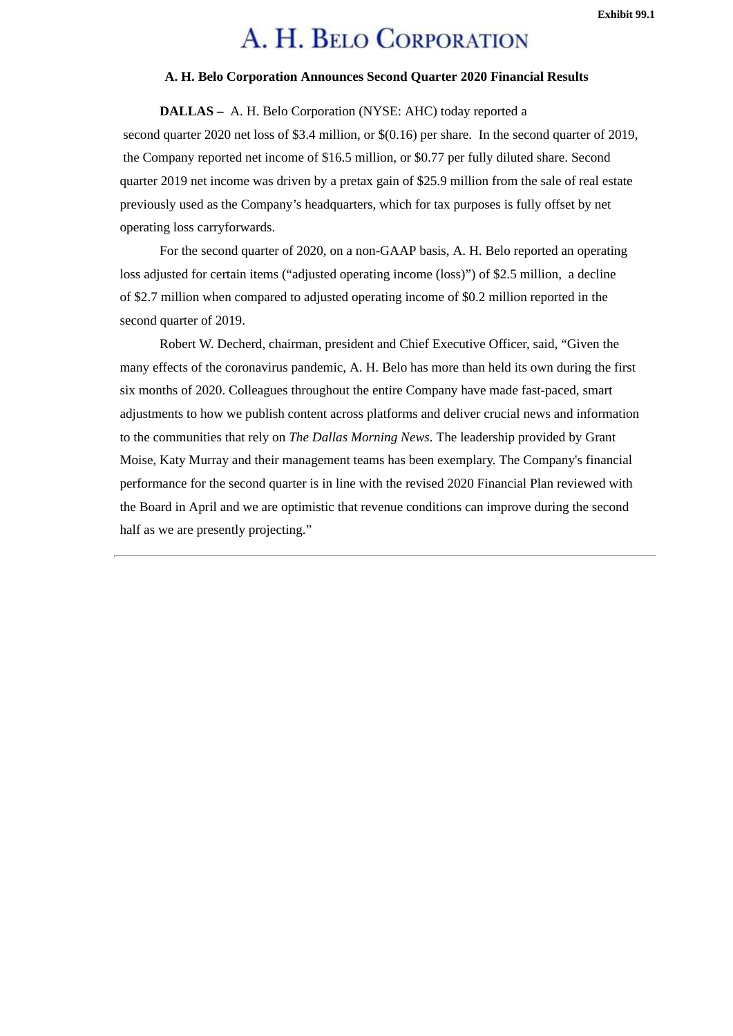# A. H. BELO CORPORATION

### **A. H. Belo Corporation Announces Second Quarter 2020 Financial Results**

<span id="page-4-0"></span>**DALLAS –** A. H. Belo Corporation (NYSE: AHC) today reported a second quarter 2020 net loss of \$3.4 million, or \$(0.16) per share. In the second quarter of 2019, the Company reported net income of \$16.5 million, or \$0.77 per fully diluted share. Second quarter 2019 net income was driven by a pretax gain of \$25.9 million from the sale of real estate previously used as the Company's headquarters, which for tax purposes is fully offset by net operating loss carryforwards.

For the second quarter of 2020, on a non-GAAP basis, A. H. Belo reported an operating loss adjusted for certain items ("adjusted operating income (loss)") of \$2.5 million, a decline of \$2.7 million when compared to adjusted operating income of \$0.2 million reported in the second quarter of 2019.

Robert W. Decherd, chairman, president and Chief Executive Officer, said, "Given the many effects of the coronavirus pandemic, A. H. Belo has more than held its own during the first six months of 2020. Colleagues throughout the entire Company have made fast-paced, smart adjustments to how we publish content across platforms and deliver crucial news and information to the communities that rely on *The Dallas Morning News*. The leadership provided by Grant Moise, Katy Murray and their management teams has been exemplary. The Company's financial performance for the second quarter is in line with the revised 2020 Financial Plan reviewed with the Board in April and we are optimistic that revenue conditions can improve during the second half as we are presently projecting."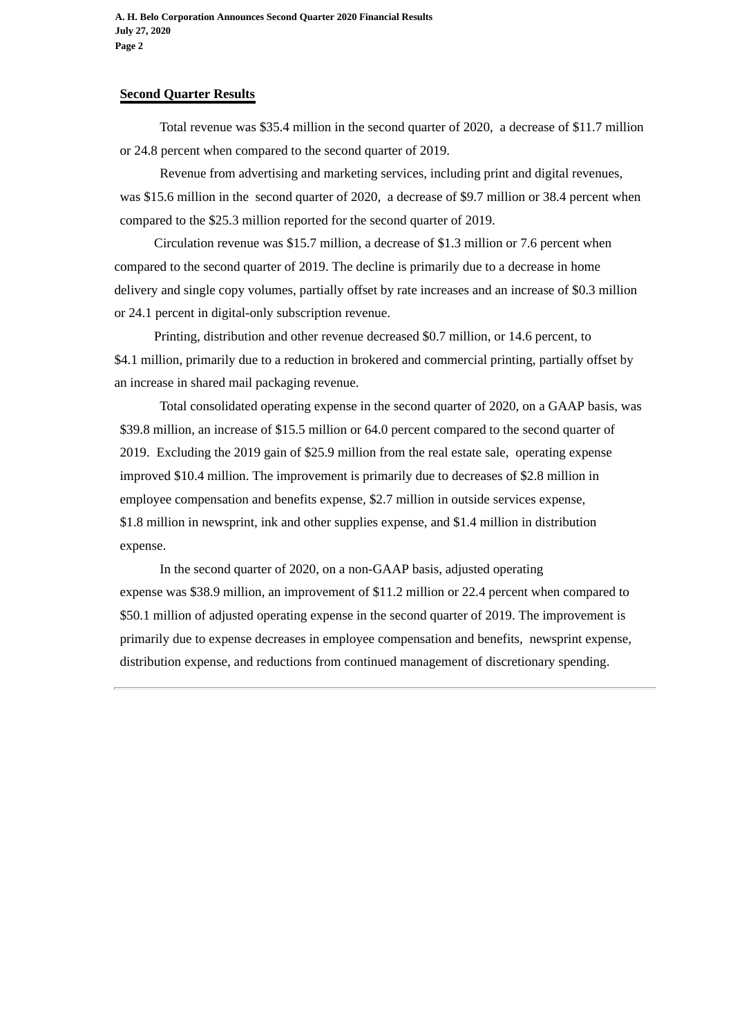**A. H. Belo Corporation Announces Second Quarter 2020 Financial Results July 27, 2020 Page 2**

# **Second Quarter Results**

Total revenue was \$35.4 million in the second quarter of 2020, a decrease of \$11.7 million or 24.8 percent when compared to the second quarter of 2019.

Revenue from advertising and marketing services, including print and digital revenues, was \$15.6 million in the second quarter of 2020, a decrease of \$9.7 million or 38.4 percent when compared to the \$25.3 million reported for the second quarter of 2019.

Circulation revenue was \$15.7 million, a decrease of \$1.3 million or 7.6 percent when compared to the second quarter of 2019. The decline is primarily due to a decrease in home delivery and single copy volumes, partially offset by rate increases and an increase of \$0.3 million or 24.1 percent in digital-only subscription revenue.

Printing, distribution and other revenue decreased \$0.7 million, or 14.6 percent, to \$4.1 million, primarily due to a reduction in brokered and commercial printing, partially offset by an increase in shared mail packaging revenue.

Total consolidated operating expense in the second quarter of 2020, on a GAAP basis, was \$39.8 million, an increase of \$15.5 million or 64.0 percent compared to the second quarter of 2019. Excluding the 2019 gain of \$25.9 million from the real estate sale, operating expense improved \$10.4 million. The improvement is primarily due to decreases of \$2.8 million in employee compensation and benefits expense, \$2.7 million in outside services expense, \$1.8 million in newsprint, ink and other supplies expense, and \$1.4 million in distribution expense.

In the second quarter of 2020, on a non-GAAP basis, adjusted operating expense was \$38.9 million, an improvement of \$11.2 million or 22.4 percent when compared to \$50.1 million of adjusted operating expense in the second quarter of 2019. The improvement is primarily due to expense decreases in employee compensation and benefits, newsprint expense, distribution expense, and reductions from continued management of discretionary spending.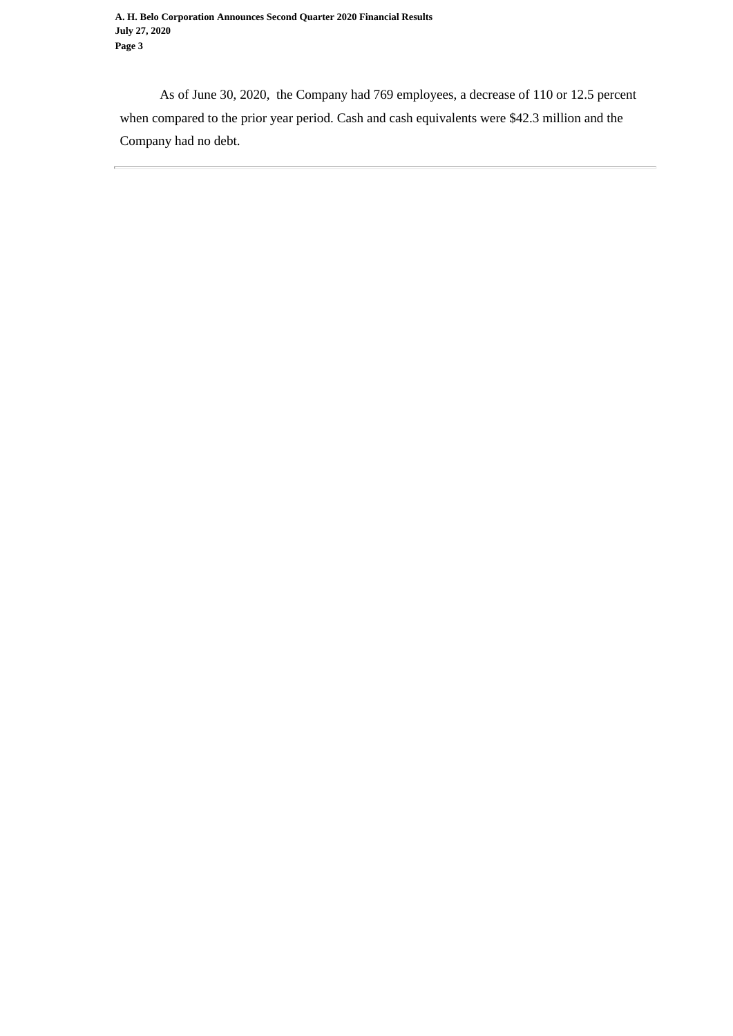As of June 30, 2020, the Company had 769 employees, a decrease of 110 or 12.5 percent when compared to the prior year period. Cash and cash equivalents were \$42.3 million and the Company had no debt.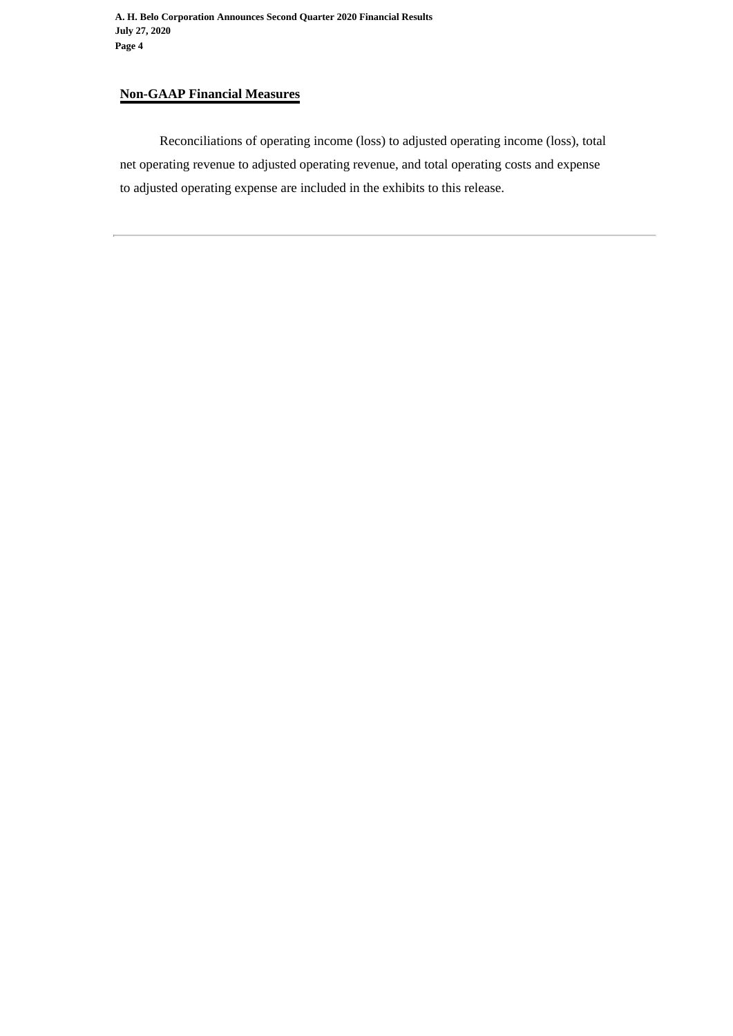# **Non-GAAP Financial Measures**

Reconciliations of operating income (loss) to adjusted operating income (loss), total net operating revenue to adjusted operating revenue, and total operating costs and expense to adjusted operating expense are included in the exhibits to this release.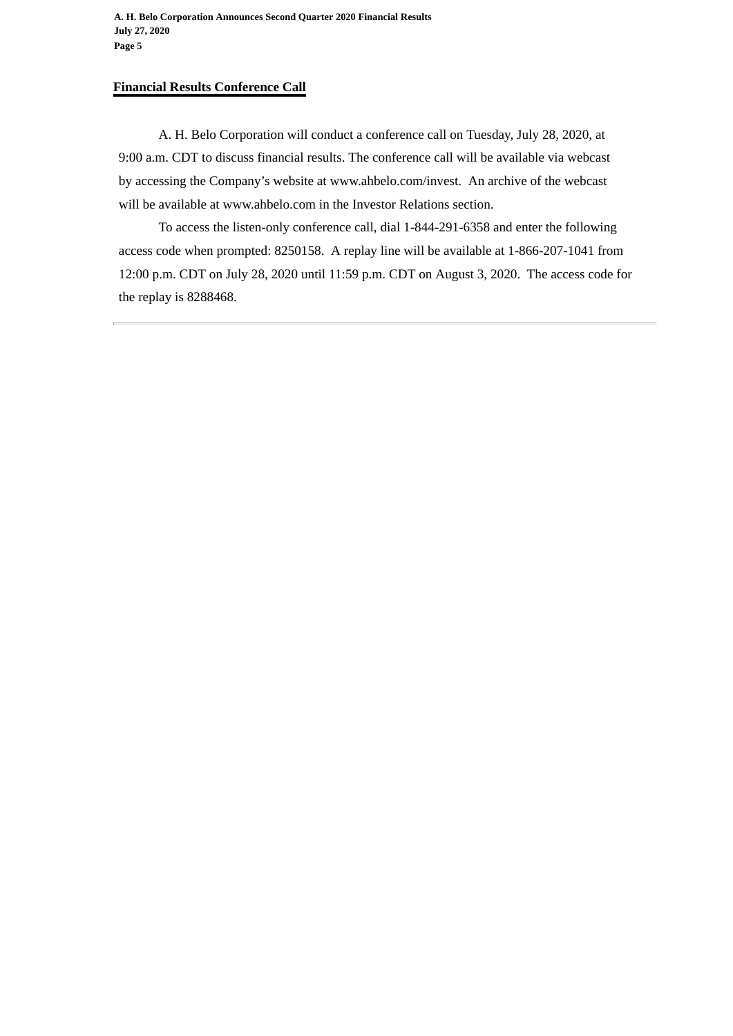# **Financial Results Conference Call**

A. H. Belo Corporation will conduct a conference call on Tuesday, July 28, 2020, at 9:00 a.m. CDT to discuss financial results. The conference call will be available via webcast by accessing the Company's website at www.ahbelo.com/invest. An archive of the webcast will be available at www.ahbelo.com in the Investor Relations section.

To access the listen-only conference call, dial 1-844-291-6358 and enter the following access code when prompted: 8250158. A replay line will be available at 1-866-207-1041 from 12:00 p.m. CDT on July 28, 2020 until 11:59 p.m. CDT on August 3, 2020. The access code for the replay is 8288468.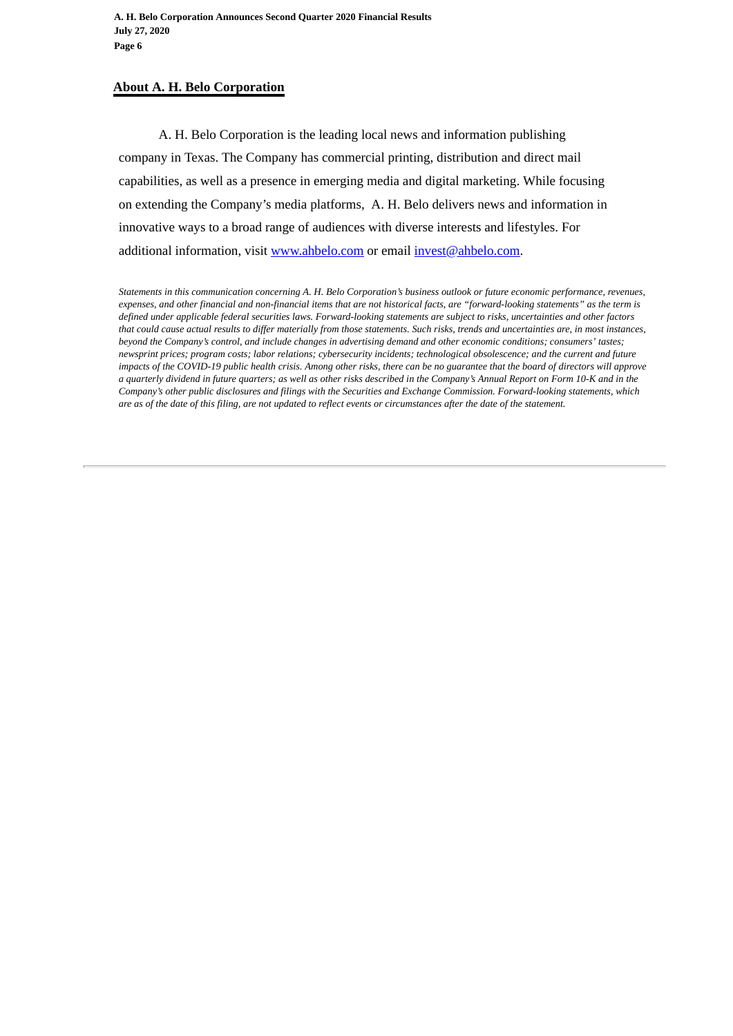# **About A. H. Belo Corporation**

A. H. Belo Corporation is the leading local news and information publishing company in Texas. The Company has commercial printing, distribution and direct mail capabilities, as well as a presence in emerging media and digital marketing. While focusing on extending the Company's media platforms, A. H. Belo delivers news and information in innovative ways to a broad range of audiences with diverse interests and lifestyles. For additional information, visit www.ahbelo.com or email invest@ahbelo.com.

*Statements in this communication concerning A. H. Belo Corporation's business outlook or future economic performance, revenues, expenses, and other financial and non-financial items that are not historical facts, are "forward-looking statements" as the term is defined under applicable federal securities laws. Forward-looking statements are subject to risks, uncertainties and other factors that could cause actual results to differ materially from those statements. Such risks, trends and uncertainties are, in most instances, beyond the Company's control, and include changes in advertising demand and other economic conditions; consumers' tastes; newsprint prices; program costs; labor relations; cybersecurity incidents; technological obsolescence; and the current and future impacts of the COVID-19 public health crisis. Among other risks, there can be no guarantee that the board of directors will approve a quarterly dividend in future quarters; as well as other risks described in the Company's Annual Report on Form 10-K and in the Company's other public disclosures and filings with the Securities and Exchange Commission. Forward-looking statements, which are as of the date of this filing, are not updated to reflect events or circumstances after the date of the statement.*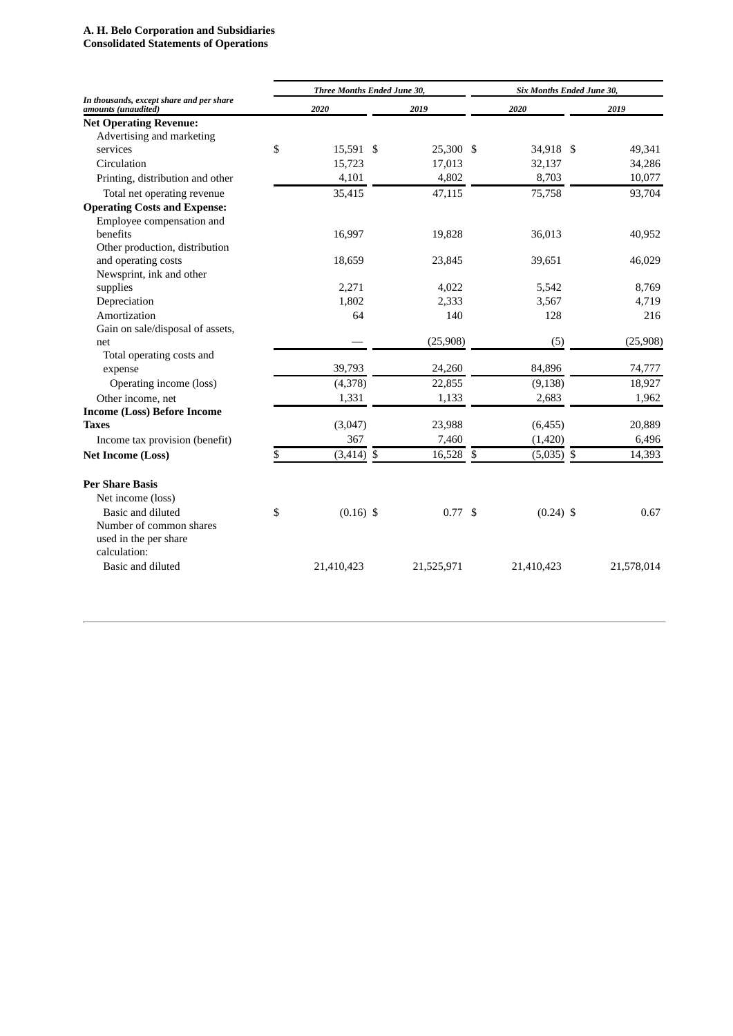#### **A. H. Belo Corporation and Subsidiaries**

**Consolidated Statements of Operations**

|                                                                 | Three Months Ended June 30, |              |  |            |    | Six Months Ended June 30, |  |            |  |  |
|-----------------------------------------------------------------|-----------------------------|--------------|--|------------|----|---------------------------|--|------------|--|--|
| In thousands, except share and per share<br>amounts (unaudited) |                             | 2020         |  | 2019       |    | 2020                      |  | 2019       |  |  |
| <b>Net Operating Revenue:</b>                                   |                             |              |  |            |    |                           |  |            |  |  |
| Advertising and marketing                                       |                             |              |  |            |    |                           |  |            |  |  |
| services                                                        | \$                          | 15,591 \$    |  | 25,300 \$  |    | 34,918 \$                 |  | 49,341     |  |  |
| Circulation                                                     |                             | 15,723       |  | 17,013     |    | 32,137                    |  | 34,286     |  |  |
| Printing, distribution and other                                |                             | 4,101        |  | 4,802      |    | 8,703                     |  | 10,077     |  |  |
| Total net operating revenue                                     |                             | 35,415       |  | 47,115     |    | 75,758                    |  | 93,704     |  |  |
| <b>Operating Costs and Expense:</b>                             |                             |              |  |            |    |                           |  |            |  |  |
| Employee compensation and                                       |                             |              |  |            |    |                           |  |            |  |  |
| benefits                                                        |                             | 16,997       |  | 19,828     |    | 36,013                    |  | 40,952     |  |  |
| Other production, distribution                                  |                             |              |  |            |    |                           |  |            |  |  |
| and operating costs                                             |                             | 18,659       |  | 23,845     |    | 39,651                    |  | 46,029     |  |  |
| Newsprint, ink and other                                        |                             |              |  |            |    |                           |  |            |  |  |
| supplies                                                        |                             | 2,271        |  | 4,022      |    | 5,542                     |  | 8,769      |  |  |
| Depreciation                                                    |                             | 1,802        |  | 2,333      |    | 3,567                     |  | 4,719      |  |  |
| Amortization                                                    |                             | 64           |  | 140        |    | 128                       |  | 216        |  |  |
| Gain on sale/disposal of assets,                                |                             |              |  |            |    |                           |  |            |  |  |
| net                                                             |                             |              |  | (25,908)   |    | (5)                       |  | (25, 908)  |  |  |
| Total operating costs and                                       |                             |              |  |            |    |                           |  |            |  |  |
| expense                                                         |                             | 39,793       |  | 24,260     |    | 84,896                    |  | 74,777     |  |  |
| Operating income (loss)                                         |                             | (4,378)      |  | 22,855     |    | (9, 138)                  |  | 18,927     |  |  |
| Other income, net                                               |                             | 1,331        |  | 1,133      |    | 2,683                     |  | 1,962      |  |  |
| <b>Income (Loss) Before Income</b>                              |                             |              |  |            |    |                           |  |            |  |  |
| <b>Taxes</b>                                                    |                             | (3,047)      |  | 23,988     |    | (6, 455)                  |  | 20,889     |  |  |
| Income tax provision (benefit)                                  |                             | 367          |  | 7,460      |    | (1,420)                   |  | 6,496      |  |  |
| <b>Net Income (Loss)</b>                                        | \$                          | $(3,414)$ \$ |  | 16,528     | \$ | $(5,035)$ \$              |  | 14,393     |  |  |
| <b>Per Share Basis</b>                                          |                             |              |  |            |    |                           |  |            |  |  |
| Net income (loss)                                               |                             |              |  |            |    |                           |  |            |  |  |
| Basic and diluted                                               | \$                          | $(0.16)$ \$  |  | 0.77S      |    | $(0.24)$ \$               |  | 0.67       |  |  |
| Number of common shares                                         |                             |              |  |            |    |                           |  |            |  |  |
| used in the per share                                           |                             |              |  |            |    |                           |  |            |  |  |
| calculation:                                                    |                             |              |  |            |    |                           |  |            |  |  |
| Basic and diluted                                               |                             | 21,410,423   |  | 21,525,971 |    | 21,410,423                |  | 21,578,014 |  |  |
|                                                                 |                             |              |  |            |    |                           |  |            |  |  |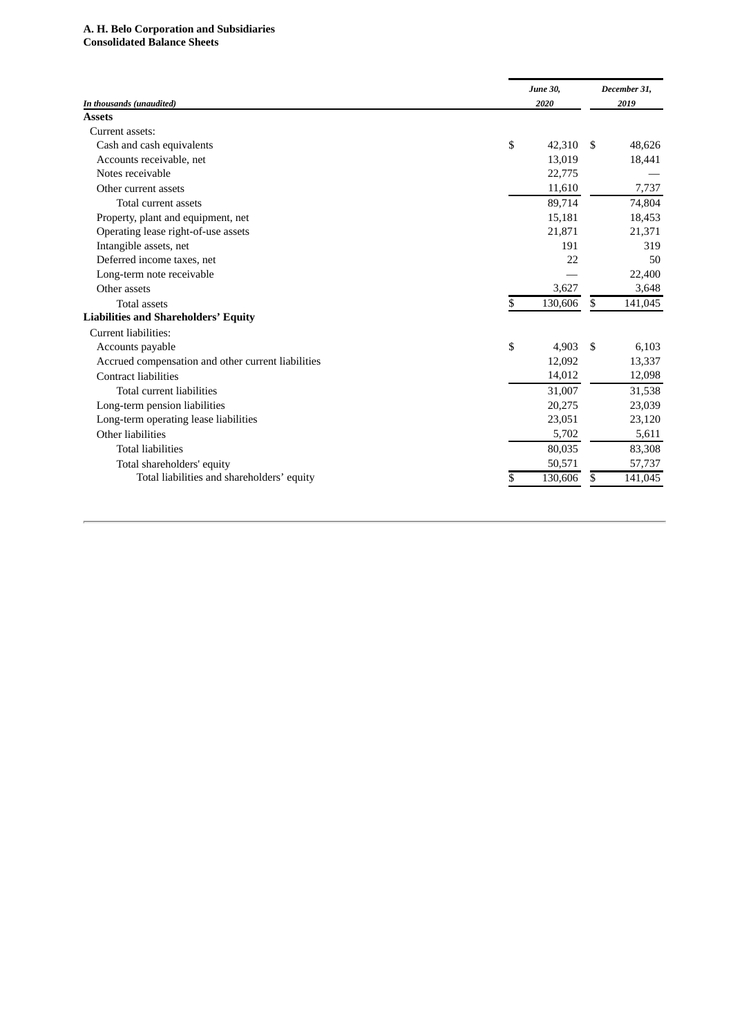#### A. H. Belo Corporation and Subsidiaries **Consolidated Balance Sheets**

|                                                    | <b>June 30,</b> |         | December 31, |         |  |
|----------------------------------------------------|-----------------|---------|--------------|---------|--|
| In thousands (unaudited)                           |                 | 2020    | 2019         |         |  |
| <b>Assets</b>                                      |                 |         |              |         |  |
| Current assets:                                    |                 |         |              |         |  |
| Cash and cash equivalents                          | \$              | 42,310  | -S           | 48,626  |  |
| Accounts receivable, net                           |                 | 13,019  |              | 18,441  |  |
| Notes receivable                                   |                 | 22,775  |              |         |  |
| Other current assets                               |                 | 11,610  |              | 7,737   |  |
| Total current assets                               |                 | 89,714  |              | 74,804  |  |
| Property, plant and equipment, net                 |                 | 15,181  |              | 18,453  |  |
| Operating lease right-of-use assets                |                 | 21,871  |              | 21,371  |  |
| Intangible assets, net                             |                 | 191     |              | 319     |  |
| Deferred income taxes, net                         |                 | 22      |              | 50      |  |
| Long-term note receivable                          |                 |         |              | 22,400  |  |
| Other assets                                       |                 | 3,627   |              | 3,648   |  |
| <b>Total assets</b>                                | \$              | 130,606 | \$           | 141,045 |  |
| <b>Liabilities and Shareholders' Equity</b>        |                 |         |              |         |  |
| Current liabilities:                               |                 |         |              |         |  |
| Accounts payable                                   | \$              | 4,903   | -\$          | 6,103   |  |
| Accrued compensation and other current liabilities |                 | 12,092  |              | 13,337  |  |
| <b>Contract liabilities</b>                        |                 | 14,012  |              | 12,098  |  |
| Total current liabilities                          |                 | 31,007  |              | 31,538  |  |
| Long-term pension liabilities                      |                 | 20,275  |              | 23,039  |  |
| Long-term operating lease liabilities              |                 | 23,051  |              | 23,120  |  |
| Other liabilities                                  |                 | 5,702   |              | 5,611   |  |
| <b>Total liabilities</b>                           |                 | 80,035  |              | 83,308  |  |
| Total shareholders' equity                         |                 | 50,571  |              | 57,737  |  |
| Total liabilities and shareholders' equity         | S               | 130,606 | S            | 141,045 |  |
|                                                    |                 |         |              |         |  |